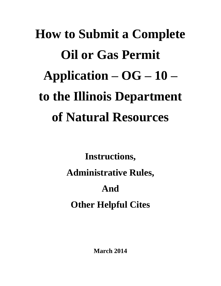# **How to Submit a Complete Oil or Gas Permit Application – OG – 10 – to the Illinois Department of Natural Resources**

**Instructions, Administrative Rules, And Other Helpful Cites** 

**March 2014**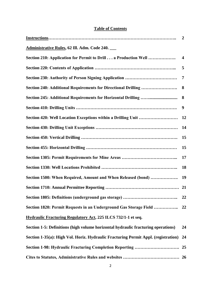## **Table of Contents**

|                                                                                    | $\overline{2}$ |
|------------------------------------------------------------------------------------|----------------|
| Administrative Rules, 62 Ill. Adm. Code 240.                                       |                |
| Section 210: Application for Permit to Drill a Production Well                     | 4              |
|                                                                                    | 5              |
|                                                                                    | 7              |
| Section 240: Additional Requirements for Directional Drilling                      | 8              |
|                                                                                    | 8              |
|                                                                                    | 9              |
|                                                                                    |                |
|                                                                                    | 14             |
|                                                                                    | 15             |
|                                                                                    | 15             |
|                                                                                    | 17             |
|                                                                                    | 18             |
| Section 1500: When Required, Amount and When Released (bond)                       | 19             |
|                                                                                    |                |
| Section 1805: Definitions (underground gas storage)                                | 22             |
| Section 1820: Permit Requests in an Underground Gas Storage Field                  | 22             |
| Hydraulic Fracturing Regulatory Act, 225 ILCS 732/1-1 et seq.                      |                |
| Section 1-5: Definitions (high volume horizontal hydraulic fracturing operations)  | 24             |
| Section 1-35(a): High Vol. Horiz. Hydraulic Fracturing Permit Appl. (registration) | 24             |
| Section 1-98: Hydraulic Fracturing Completion Reporting                            | 25             |
|                                                                                    |                |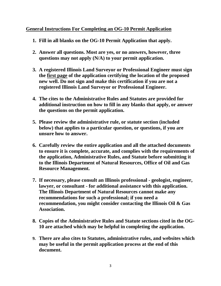# **General Instructions For Completing an OG-10 Permit Application**

- **1. Fill in all blanks on the OG-10 Permit Application that apply.**
- **2. Answer all questions. Most are yes, or no answers, however, three questions may not apply (N/A) to your permit application.**
- **3. A registered Illinois Land Surveyor or Professional Engineer must sign the first page of the application certifying the location of the proposed new well. Do not sign and make this certification if you are not a registered Illinois Land Surveyor or Professional Engineer.**
- **4. The cites to the Administrative Rules and Statutes are provided for additional instruction on how to fill in any blanks that apply, or answer the questions on the permit application.**
- **5. Please review the administrative rule, or statute section (included below) that applies to a particular question, or questions, if you are unsure how to answer.**
- **6. Carefully review the entire application and all the attached documents to ensure it is complete, accurate, and complies with the requirements of the application, Administrative Rules, and Statute before submitting it to the Illinois Department of Natural Resources, Office of Oil and Gas Resource Management.**
- **7. If necessary, please consult an Illinois professional geologist, engineer, lawyer, or consultant - for additional assistance with this application. The Illinois Department of Natural Resources cannot make any recommendations for such a professional; if you need a recommendation, you might consider contacting the Illinois Oil & Gas Association.**
- **8. Copies of the Administrative Rules and Statute sections cited in the OG-10 are attached which may be helpful in completing the application.**
- **9. There are also cites to Statutes, administrative rules, and websites which may be useful in the permit application process at the end of this document.**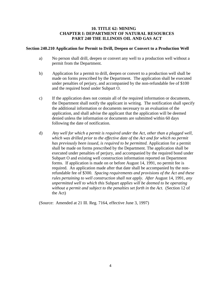#### **10. TITLE 62: MINING CHAPTER I: DEPARTMENT OF NATURAL RESOURCES PART 240 THE ILLINOIS OIL AND GAS ACT**

#### **Section 240.210 Application for Permit to Drill, Deepen or Convert to a Production Well**

- a) No person shall drill, deepen or convert any well to a production well without a permit from the Department.
- b) Application for a permit to drill, deepen or convert to a production well shall be made on forms prescribed by the Department. The application shall be executed under penalties of perjury, and accompanied by the non-refundable fee of \$100 and the required bond under Subpart O.
- c) If the application does not contain all of the required information or documents, the Department shall notify the applicant in writing. The notification shall specify the additional information or documents necessary to an evaluation of the application, and shall advise the applicant that the application will be deemed denied unless the information or documents are submitted within 60 days following the date of notification.
- d) *Any well for which a permit is required under* the *Act, other than a plugged well, which was drilled prior to the effective date of* the *Act and for which no permit has previously been issued, is required to be permitted.* Application for a permit shall be made on forms prescribed by the Department. The application shall be executed under penalties of perjury, and accompanied by the required bond under Subpart O and existing well construction information reported on Department forms. If application is made on or before August 14, 1991, no permit fee is required. An application made after that date shall be accompanied by the nonrefundable fee of \$300. *Spacing requirements and provisions of the Act and these rules pertaining to well construction shall not apply. After* August 14, 1991*, any unpermitted well to which this* Subpart *applies will be deemed to be operating without a permit and subject to the penalties set forth in* the *Act.* (Section 12 of the Act)

(Source: Amended at 21 Ill. Reg. 7164, effective June 3, 1997)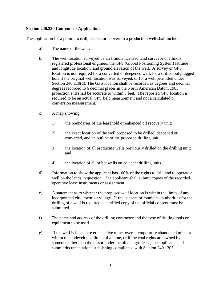## **Section 240.220 Contents of Application**

The application for a permit to drill, deepen or convert to a production well shall include:

- a) The name of the well.
- b) The well location surveyed by an Illinois licensed land surveyor or Illinois registered professional engineer, the GPS (Global Positioning System) latitude and longitude location, and ground elevation of the well. A survey or GPS location is not required for a converted or deepened well, for a drilled out plugged hole if the original well location was surveyed, or for a well permitted under Section 240.210(d). The GPS location shall be recorded as degrees and decimal degrees recorded to 6 decimal places in the North American Datum 1983 projection and shall be accurate to within 3 feet. The reported GPS location is required to be an actual GPS field measurement and not a calculated or conversion measurement.
- c) A map showing:
	- 1) the boundaries of the leasehold or enhanced oil recovery unit;
	- 2) the exact location of the well proposed to be drilled, deepened or converted, and an outline of the proposed drilling unit;
	- 3) the location of all producing wells previously drilled on the drilling unit; and
	- 4) the location of all offset wells on adjacent drilling units.
- d) Information to show the applicant has 100% of the rights to drill and to operate a well on the lands in question. The applicant shall submit copies of the recorded operative lease instruments or assignment.
- e) A statement as to whether the proposed well location is within the limits of any incorporated city, town, or village. If the consent of municipal authorities for the drilling of a well is required, a certified copy of the official consent must be submitted.
- f) The name and address of the drilling contractor and the type of drilling tools or equipment to be used.
- g) If the well is located over an active mine, over a temporarily abandoned mine or within the undeveloped limits of a mine, or if the coal rights are owned by someone other than the lessor under the oil and gas lease, the applicant shall submit documentation establishing compliance with Section 240.1305.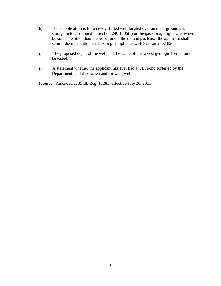- h) If the application is for a newly drilled well located over an underground gas storage field as defined in Section 240.1805(c) or the gas storage rights are owned by someone other than the lessor under the oil and gas lease, the applicant shall submit documentation establishing compliance with Section 240.1820.
- i) The proposed depth of the well and the name of the lowest geologic formation to be tested.
- j) A statement whether the applicant has ever had a well bond forfeited by the Department, and if so when and for what well.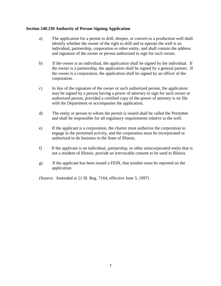#### **Section 240.230 Authority of Person Signing Application**

- a) The application for a permit to drill, deepen, or convert to a production well shall identify whether the owner of the right to drill and to operate the well is an individual, partnership, corporation or other entity, and shall contain the address and signature of the owner or person authorized to sign for such owner.
- b) If the owner is an individual, the application shall be signed by the individual. If the owner is a partnership, the application shall be signed by a general partner. If the owner is a corporation, the application shall be signed by an officer of the corporation.
- c) In lieu of the signature of the owner or such authorized person, the application may be signed by a person having a power of attorney to sign for such owner or authorized person, provided a certified copy of the power of attorney is on file with the Department or accompanies the application.
- d) The entity or person to whom the permit is issued shall be called the Permittee and shall be responsible for all regulatory requirements relative to the well.
- e) If the applicant is a corporation, the charter must authorize the corporation to engage in the permitted activity, and the corporation must be incorporated or authorized to do business in the State of Illinois.
- f) If the applicant is an individual, partnership, or other unincorporated entity that is not a resident of Illinois, provide an irrevocable consent to be sued in Illinois.
- g) If the applicant has been issued a FEIN, that number must be reported on the application.

(Source: Amended at 21 Ill. Reg. 7164, effective June 3, 1997)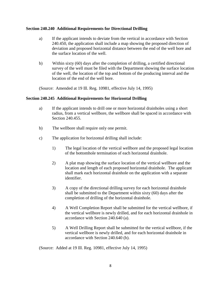#### **Section 240.240 Additional Requirements for Directional Drilling**

- a) If the applicant intends to deviate from the vertical in accordance with Section 240.450, the application shall include a map showing the proposed direction of deviation and proposed horizontal distance between the end of the well bore and the surface location of the well.
- b) Within sixty (60) days after the completion of drilling, a certified directional survey of the well must be filed with the Department showing the surface location of the well, the location of the top and bottom of the producing interval and the location of the end of the well bore.

(Source: Amended at 19 Ill. Reg. 10981, effective July 14, 1995)

## **Section 240.245 Additional Requirements for Horizontal Drilling**

- a) If the applicant intends to drill one or more horizontal drainholes using a short radius, from a vertical wellbore, the wellbore shall be spaced in accordance with Section 240.455.
- b) The wellbore shall require only one permit.
- c) The application for horizontal drilling shall include:
	- 1) The legal location of the vertical wellbore and the proposed legal location of the bottomhole termination of each horizontal drainhole.
	- 2) A plat map showing the surface location of the vertical wellbore and the location and length of each proposed horizontal drainhole. The applicant shall mark each horizontal drainhole on the application with a separate identifier.
	- 3) A copy of the directional drilling survey for each horizontal drainhole shall be submitted to the Department within sixty (60) days after the completion of drilling of the horizontal drainhole.
	- 4) A Well Completion Report shall be submitted for the vertical wellbore, if the vertical wellbore is newly drilled, and for each horizontal drainhole in accordance with Section 240.640 (a).
	- 5) A Well Drilling Report shall be submitted for the vertical wellbore, if the vertical wellbore is newly drilled, and for each horizontal drainhole in accordance with Section 240.640 (b).

(Source: Added at 19 Ill. Reg. 10981, effective July 14, 1995)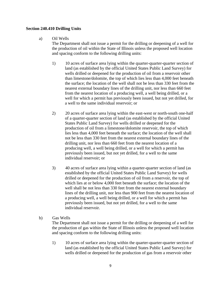#### **Section 240.410 Drilling Units**

## a) Oil Wells

 The Department shall not issue a permit for the drilling or deepening of a well for the production of oil within the State of Illinois unless the proposed well location and spacing conform to the following drilling units:

- 1) 10 acres of surface area lying within the quarter-quarter-quarter section of land (as established by the official United States Public Land Survey) for wells drilled or deepened for the production of oil from a reservoir other than limestone/dolomite, the top of which lies less than 4,000 feet beneath the surface; the location of the well shall not be less than 330 feet from the nearest external boundary lines of the drilling unit, nor less than 660 feet from the nearest location of a producing well, a well being drilled, or a well for which a permit has previously been issued, but not yet drilled, for a well to the same individual reservoir; or
- 2) 20 acres of surface area lying within the east-west or north-south one-half of a quarter-quarter section of land (as established by the official United States Public Land Survey) for wells drilled or deepened for the production of oil from a limestone/dolomite reservoir, the top of which lies less than 4,000 feet beneath the surface; the location of the well shall not be less than 330 feet from the nearest external boundary lines of the drilling unit, nor less than 660 feet from the nearest location of a producing well, a well being drilled, or a well for which a permit has previously been issued, but not yet drilled, for a well to the same individual reservoir; or
- 3) 40 acres of surface area lying within a quarter-quarter section of land (as established by the official United States Public Land Survey) for wells drilled or deepened for the production of oil from a reservoir, the top of which lies at or below 4,000 feet beneath the surface; the location of the well shall be not less than 330 feet from the nearest external boundary lines of the drilling unit, nor less than 900 feet from the nearest location of a producing well, a well being drilled, or a well for which a permit has previously been issued, but not yet drilled, for a well to the same individual reservoir.
- b) Gas Wells

 The Department shall not issue a permit for the drilling or deepening of a well for the production of gas within the State of Illinois unless the proposed well location and spacing conform to the following drilling units:

1) 10 acres of surface area lying within the quarter-quarter-quarter section of land (as established by the official United States Public Land Survey) for wells drilled or deepened for the production of gas from a reservoir other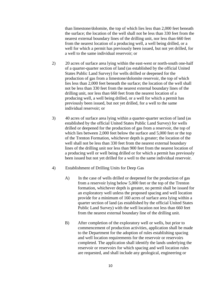than limestone/dolomite, the top of which lies less than 2,000 feet beneath the surface; the location of the well shall not be less than 330 feet from the nearest external boundary lines of the drilling unit, nor less than 660 feet from the nearest location of a producing well, a well being drilled, or a well for which a permit has previously been issued, but not yet drilled, for a well to the same individual reservoir; or

- 2) 20 acres of surface area lying within the east-west or north-south one-half of a quarter-quarter section of land (as established by the official United States Public Land Survey) for wells drilled or deepened for the production of gas from a limestone/dolomite reservoir, the top of which lies less than 2,000 feet beneath the surface; the location of the well shall not be less than 330 feet from the nearest external boundary lines of the drilling unit, nor less than 660 feet from the nearest location of a producing well, a well being drilled, or a well for which a permit has previously been issued, but not yet drilled, for a well to the same individual reservoir; or
- 3) 40 acres of surface area lying within a quarter-quarter section of land (as established by the official United States Public Land Survey) for wells drilled or deepened for the production of gas from a reservoir, the top of which lies between 2,000 feet below the surface and 5,000 feet or the top of the Trenton Formation, whichever depth is greater; the location of the well shall not be less than 330 feet from the nearest external boundary lines of the drilling unit nor less than 900 feet from the nearest location of a producing well or well being drilled or for which a permit has previously been issued but not yet drilled for a well to the same individual reservoir.
- 4) Establishment of Drilling Units for Deep Gas
	- A) In the case of wells drilled or deepened for the production of gas from a reservoir lying below 5,000 feet or the top of the Trenton formation, whichever depth is greater, no permit shall be issued for an exploratory well unless the proposed spacing and well location provide for a minimum of 160 acres of surface area lying within a quarter section of land (as established by the official United States Public Land Survey) with the well location not less than 660 feet from the nearest external boundary line of the drilling unit.
	- B) After completion of the exploratory well or wells, but prior to commencement of production activities, application shall be made to the Department for the adoption of rules establishing spacing and well location requirements for the reservoir or reservoirs completed. The application shall identify the lands underlying the reservoir or reservoirs for which spacing and well location rules are requested, and shall include any geological, engineering or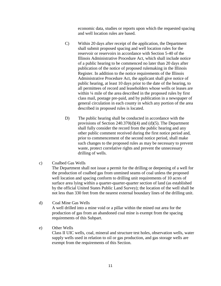economic data, studies or reports upon which the requested spacing and well location rules are based.

- C) Within 20 days after receipt of the application, the Department shall submit proposed spacing and well location rules for the reservoir or reservoirs in accordance with Section 5-40 of the Illinois Administrative Procedure Act, which shall include notice of a public hearing to be commenced no later than 20 days after publication of the notice of proposed rulemaking in the Illinois Register. In addition to the notice requirements of the Illinois Administrative Procedure Act, the applicant shall give notice of public hearing, at least 10 days prior to the date of the hearing, to all permittees of record and leaseholders whose wells or leases are within ¼ mile of the area described in the proposed rules by first class mail, postage pre-paid, and by publication in a newspaper of general circulation in each county in which any portion of the area described in proposed rules is located.
- D) The public hearing shall be conducted in accordance with the provisions of Section 240.370(d)(4) and (d)(5). The Department shall fully consider the record from the public hearing and any other public comment received during the first notice period and, prior to commencement of the second notice period, shall make such changes to the proposed rules as may be necessary to prevent waste, protect correlative rights and prevent the unnecessary drilling of wells.
- c) Coalbed Gas Wells

 The Department shall not issue a permit for the drilling or deepening of a well for the production of coalbed gas from unmined seams of coal unless the proposed well location and spacing conform to drilling unit requirements of 10 acres of surface area lying within a quarter-quarter-quarter section of land (as established by the official United States Public Land Survey); the location of the well shall be not less than 330 feet from the nearest external boundary lines of the drilling unit.

- d) Coal Mine Gas Wells A well drilled into a mine void or a pillar within the mined out area for the production of gas from an abandoned coal mine is exempt from the spacing requirements of this Subpart.
- e) Other Wells

 Class II UIC wells, coal, mineral and structure test holes, observation wells, water supply wells used in relation to oil or gas production, and gas storage wells are exempt from the requirements of this Section.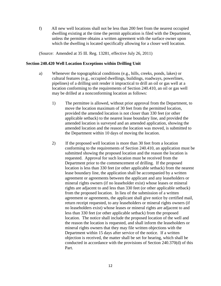f) All new well locations shall not be less than 200 feet from the nearest occupied dwelling existing at the time the permit application is filed with the Department, unless the permittee obtains a written agreement with the surface owner upon which the dwelling is located specifically allowing for a closer well location.

(Source: Amended at 35 Ill. Reg. 13281, effective July 26, 2011)

#### **Section 240.420 Well Location Exceptions within Drilling Unit**

- a) Whenever the topographical conditions (e.g., hills, creeks, ponds, lakes) or cultural features (e.g., occupied dwellings, buildings, roadways, powerlines, pipelines) of a drilling unit render it impractical to drill an oil or gas well at a location conforming to the requirements of Section 240.410, an oil or gas well may be drilled at a nonconforming location as follows:
	- 1) The permittee is allowed, without prior approval from the Department, to move the location maximum of 30 feet from the permitted location, provided the amended location is not closer than 330 feet (or other applicable setback) to the nearest lease boundary line, and provided the amended location is surveyed and an amended application, showing the amended location and the reason the location was moved, is submitted to the Department within 10 days of moving the location.
	- 2) If the proposed well location is more than 30 feet from a location conforming to the requirements of Section 240.410, an application must be submitted showing the proposed location and the reason the location is requested. Approval for such location must be received from the Department prior to the commencement of drilling. If the proposed location is less than 330 feet (or other applicable setback) from the nearest lease boundary line, the application shall be accompanied by a written agreement or agreements between the applicant and any leaseholders or mineral rights owners (if no leaseholder exist) whose leases or mineral rights are adjacent to and less than 330 feet (or other applicable setback) from the proposed location. In lieu of the submission of a written agreement or agreements, the applicant shall give notice by certified mail, return receipt requested, to any leaseholders or mineral rights owners (if no leaseholders exist) whose leases or mineral rights are adjacent to and less than 330 feet (or other applicable setback) from the proposed location. The notice shall include the proposed location of the well and the reason the location is requested, and shall inform the leaseholders or mineral rights owners that they may file written objections with the Department within 15 days after service of the notice. If a written objection is received, the matter shall be set for hearing, which shall be conducted in accordance with the provisions of Section 240.370(d) of this Part.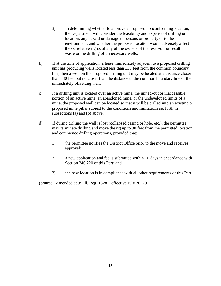- 3) In determining whether to approve a proposed nonconforming location, the Department will consider the feasibility and expense of drilling on location, any hazard or damage to persons or property or to the environment, and whether the proposed location would adversely affect the correlative rights of any of the owners of the reservoir or result in waste or the drilling of unnecessary wells.
- b) If at the time of application, a lease immediately adjacent to a proposed drilling unit has producing wells located less than 330 feet from the common boundary line, then a well on the proposed drilling unit may be located at a distance closer than 330 feet but no closer than the distance to the common boundary line of the immediately offsetting well.
- c) If a drilling unit is located over an active mine, the mined-out or inaccessible portion of an active mine, an abandoned mine, or the undeveloped limits of a mine, the proposed well can be located so that it will be drilled into an existing or proposed mine pillar subject to the conditions and limitations set forth in subsections (a) and (b) above.
- d) If during drilling the well is lost (collapsed casing or hole, etc.), the permittee may terminate drilling and move the rig up to 30 feet from the permitted location and commence drilling operations, provided that:
	- 1) the permittee notifies the District Office prior to the move and receives approval;
	- 2) a new application and fee is submitted within 10 days in accordance with Section 240.220 of this Part; and
	- 3) the new location is in compliance with all other requirements of this Part.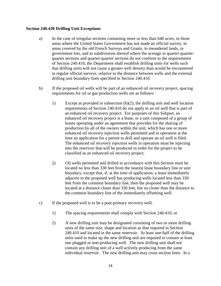#### **Section 240.430 Drilling Unit Exceptions**

- a) In the case of irregular sections containing more or less than 640 acres, in those areas where the United States Government has not made an official survey, in areas covered by the old French Surveys and Grants, in meandered lands, in government lots, and in subdivisions thereof where the acreage in quarter-quarterquarter sections and quarter-quarter sections do not conform to the requirements of Section 240.410, the Department shall establish drilling units for wells such that drilling units will not cause a greater well density than would be encountered in regular official surveys relative to the distance between wells and the external drilling unit boundary lines specified in Section 240.410.
- b) If the proposed oil wells will be part of an enhanced oil recovery project, spacing requirements for oil or gas production wells are as follows:
	- 1) Except as provided in subsection (b)(2), the drilling unit and well location requirements of Section 240.410 do not apply to an oil well that is part of an enhanced oil recovery project. For purposes of this Subpart, an enhanced oil recovery project is a lease, or a unit composed of a group of leases operating under an agreement that provides for the sharing of production by all of the owners within the unit, which has one or more enhanced oil recovery injection wells permitted and in operation at the time an application for a permit to drill and operate an oil well is filed. The enhanced oil recovery injection wells in operation must be injecting into the reservoir that will be produced in order for the project to be classified as an enhanced oil recovery project.
	- 2) Oil wells permitted and drilled in accordance with this Section must be located no less than 330 feet from the nearest lease boundary line or unit boundary, except that, if, at the time of application, a lease immediately adjacent to the proposed well has producing wells located less than 330 feet from the common boundary line, then the proposed well may be located at a distance closer than 330 feet, but no closer than the distance to the common boundary line of the immediately offsetting well.
- c) If the proposed well is to be a post-primary recovery well:
	- 1) The spacing requirements shall comply with Section 240.410; or
	- 2) A new drilling unit may be designated consisting of two or more drilling units of the same size, shape and location as that required in Section 240.410 and located in the same reservoir. At least one-half of the drilling units used to make up the new drilling unit are required to contain at least one plugged or non-producing well. The new drilling unit shall not contain any drilling unit of a well actively producing from the same individual reservoir. The new drilling unit may cross section lines. In a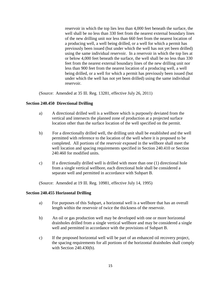reservoir in which the top lies less than 4,000 feet beneath the surface, the well shall be no less than 330 feet from the nearest external boundary lines of the new drilling unit nor less than 660 feet from the nearest location of a producing well, a well being drilled, or a well for which a permit has previously been issued (but under which the well has not yet been drilled) using the same individual reservoir. In a reservoir in which the top lies at or below 4,000 feet beneath the surface, the well shall be no less than 330 feet from the nearest external boundary lines of the new drilling unit nor less than 900 feet from the nearest location of a producing well, a well being drilled, or a well for which a permit has previously been issued (but under which the well has not yet been drilled) using the same individual reservoir.

(Source: Amended at 35 Ill. Reg. 13281, effective July 26, 2011)

## **Section 240.450 Directional Drilling**

- a) A directional drilled well is a wellbore which is purposely deviated from the vertical and intersects the planned zone of production at a projected surface location other than the surface location of the well specified on the permit.
- b) For a directionally drilled well, the drilling unit shall be established and the well permitted with reference to the location of the well where it is proposed to be completed. All portions of the reservoir exposed in the wellbore shall meet the well location and spacing requirements specified in Section 240.410 or Section 240.460 for modified units.
- c) If a directionally drilled well is drilled with more than one (1) directional hole from a single vertical wellbore, each directional hole shall be considered a separate well and permitted in accordance with Subpart B.

(Source: Amended at 19 Ill. Reg. 10981, effective July 14, 1995)

#### **Section 240.455 Horizontal Drilling**

- a) For purposes of this Subpart, a horizontal well is a wellbore that has an overall length within the reservoir of twice the thickness of the reservoir.
- b) An oil or gas production well may be developed with one or more horizontal drainholes drilled from a single vertical wellbore and may be considered a single well and permitted in accordance with the provisions of Subpart B.
- c) If the proposed horizontal well will be part of an enhanced oil recovery project, the spacing requirements for all portions of the horizontal drainholes shall comply with Section 240.430(b).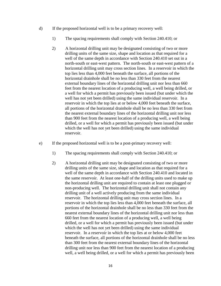- d) If the proposed horizontal well is to be a primary recovery well:
	- 1) The spacing requirements shall comply with Section 240.410; or
	- 2) A horizontal drilling unit may be designated consisting of two or more drilling units of the same size, shape and location as that required for a well of the same depth in accordance with Section 240.410 set out in a north-south or east-west pattern. The north-south or east-west pattern of a horizontal drilling unit may cross section lines. In a reservoir in which the top lies less than 4,000 feet beneath the surface, all portions of the horizontal drainhole shall be no less than 330 feet from the nearest external boundary lines of the horizontal drilling unit nor less than 660 feet from the nearest location of a producing well, a well being drilled, or a well for which a permit has previously been issued (but under which the well has not yet been drilled) using the same individual reservoir. In a reservoir in which the top lies at or below 4,000 feet beneath the surface, all portions of the horizontal drainhole shall be no less than 330 feet from the nearest external boundary lines of the horizontal drilling unit nor less than 900 feet from the nearest location of a producing well, a well being drilled, or a well for which a permit has previously been issued (but under which the well has not yet been drilled) using the same individual reservoir.
- e) If the proposed horizontal well is to be a post-primary recovery well:
	- 1) The spacing requirements shall comply with Section 240.410; or
	- 2) A horizontal drilling unit may be designated consisting of two or more drilling units of the same size, shape and location as that required for a well of the same depth in accordance with Section 240.410 and located in the same reservoir. At least one-half of the drilling units used to make up the horizontal drilling unit are required to contain at least one plugged or non-producing well. The horizontal drilling unit shall not contain any drilling unit of a well actively producing from the same individual reservoir. The horizontal drilling unit may cross section lines. In a reservoir in which the top lies less than 4,000 feet beneath the surface, all portions of the horizontal drainhole shall be no less than 330 feet from the nearest external boundary lines of the horizontal drilling unit nor less than 660 feet from the nearest location of a producing well, a well being drilled, or a well for which a permit has previously been issued (but under which the well has not yet been drilled) using the same individual reservoir. In a reservoir in which the top lies at or below 4,000 feet beneath the surface, all portions of the horizontal drainhole shall be no less than 300 feet from the nearest external boundary lines of the horizontal drilling unit nor less than 900 feet from the nearest location of a producing well, a well being drilled, or a well for which a permit has previously been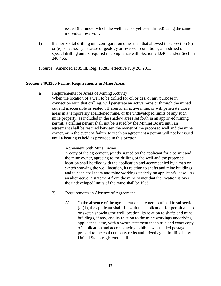issued (but under which the well has not yet been drilled) using the same individual reservoir.

f) If a horizontal drilling unit configuration other than that allowed in subsection (d) or (e) is necessary because of geology or reservoir conditions, a modified or special drilling unit is required in compliance with Section 240.460 and/or Section 240.465.

(Source: Amended at 35 Ill. Reg. 13281, effective July 26, 2011)

## **Section 240.1305 Permit Requirements in Mine Areas**

a) Requirements for Areas of Mining Activity

 When the location of a well to be drilled for oil or gas, or any purpose in connection with that drilling, will penetrate an active mine or through the mined out and inaccessible or sealed off area of an active mine, or will penetrate those areas in a temporarily abandoned mine, or the undeveloped limits of any such mine property, as included in the shadow areas set forth in an approved mining permit, a drilling permit shall not be issued by the Mining Board until an agreement shall be reached between the owner of the proposed well and the mine owner, or in the event of failure to reach an agreement a permit will not be issued until a hearing is held as provided in this Section.

1) Agreement with Mine Owner

 A copy of the agreement, jointly signed by the applicant for a permit and the mine owner, agreeing to the drilling of the well and the proposed location shall be filed with the application and accompanied by a map or sketch showing the well location, its relation to shafts and mine buildings and to each coal seam and mine workings underlying applicant's lease. As an alternative, a statement from the mine owner that the location is over the undeveloped limits of the mine shall be filed.

- 2) Requirements in Absence of Agreement
	- A) In the absence of the agreement or statement outlined in subsection  $(a)(1)$ , the applicant shall file with the application for permit a map or sketch showing the well location, its relation to shafts and mine buildings, if any, and its relation to the mine workings underlying applicant's lease, with a sworn statement that a true and exact copy of application and accompanying exhibits was mailed postage prepaid to the coal company or its authorized agent in Illinois, by United States registered mail.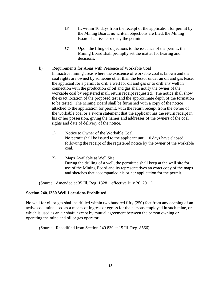- B) If, within 10 days from the receipt of the application for permit by the Mining Board, no written objections are filed, the Mining Board shall issue or deny the permit.
- C) Upon the filing of objections to the issuance of the permit, the Mining Board shall promptly set the matter for hearing and decisions.
- b) Requirements for Areas with Presence of Workable Coal In inactive mining areas where the existence of workable coal is known and the coal rights are owned by someone other than the lessor under an oil and gas lease, the applicant for a permit to drill a well for oil and gas or to drill any well in connection with the production of oil and gas shall notify the owner of the workable coal by registered mail, return receipt requested. The notice shall show the exact location of the proposed test and the approximate depth of the formation to be tested. The Mining Board shall be furnished with a copy of the notice attached to the application for permit, with the return receipt from the owner of the workable coal or a sworn statement that the applicant has the return receipt in his or her possession, giving the names and addresses of the owners of the coal rights and date of delivery of the notice.
	- 1) Notice to Owner of the Workable Coal No permit shall be issued to the applicant until 10 days have elapsed following the receipt of the registered notice by the owner of the workable coal.
	- 2) Maps Available at Well Site During the drilling of a well, the permittee shall keep at the well site for use of the Mining Board and its representatives an exact copy of the maps and sketches that accompanied his or her application for the permit.

(Source: Amended at 35 Ill. Reg. 13281, effective July 26, 2011)

#### **Section 240.1330 Well Locations Prohibited**

No well for oil or gas shall be drilled within two hundred fifty (250) feet from any opening of an active coal mine used as a means of ingress or egress for the persons employed in such mine, or which is used as an air shaft, except by mutual agreement between the person owning or operating the mine and oil or gas operator.

(Source: Recodified from Section 240.830 at 15 Ill. Reg. 8566)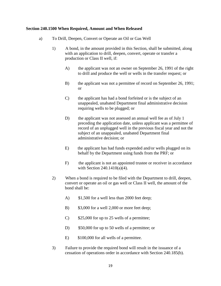#### **Section 240.1500 When Required, Amount and When Released**

- a) To Drill, Deepen, Convert or Operate an Oil or Gas Well
	- 1) A bond, in the amount provided in this Section, shall be submitted, along with an application to drill, deepen, convert, operate or transfer a production or Class II well, if:
		- A) the applicant was not an owner on September 26, 1991 of the right to drill and produce the well or wells in the transfer request; or
		- B) the applicant was not a permittee of record on September 26, 1991; or
		- C) the applicant has had a bond forfeited or is the subject of an unappealed, unabated Department final administrative decision requiring wells to be plugged; or
		- D) the applicant was not assessed an annual well fee as of July 1 preceding the application date, unless applicant was a permittee of record of an unplugged well in the previous fiscal year and not the subject of an unappealed, unabated Department final administrative decision; or
		- E) the applicant has had funds expended and/or wells plugged on its behalf by the Department using funds from the PRF; or
		- F) the applicant is not an appointed trustee or receiver in accordance with Section 240.1410(a)(4).
	- 2) When a bond is required to be filed with the Department to drill, deepen, convert or operate an oil or gas well or Class II well, the amount of the bond shall be:
		- A)  $$1,500$  for a well less than 2000 feet deep;
		- B) \$3,000 for a well 2,000 or more feet deep;
		- C) \$25,000 for up to 25 wells of a permittee;
		- D) \$50,000 for up to 50 wells of a permittee; or
		- E) \$100,000 for all wells of a permittee.
	- 3) Failure to provide the required bond will result in the issuance of a cessation of operations order in accordance with Section 240.185(b).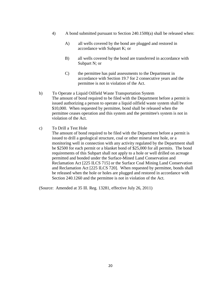- 4) A bond submitted pursuant to Section 240.1500(a) shall be released when:
	- A) all wells covered by the bond are plugged and restored in accordance with Subpart K; or
	- B) all wells covered by the bond are transferred in accordance with Subpart N; or
	- C) the permittee has paid assessments to the Department in accordance with Section 19.7 for 2 consecutive years and the permittee is not in violation of the Act.
- b) To Operate a Liquid Oilfield Waste Transportation System The amount of bond required to be filed with the Department before a permit is issued authorizing a person to operate a liquid oilfield waste system shall be \$10,000. When requested by permittee, bond shall be released when the permittee ceases operation and this system and the permittee's system is not in violation of the Act.
- c) To Drill a Test Hole

 The amount of bond required to be filed with the Department before a permit is issued to drill a geological structure, coal or other mineral test hole, or a monitoring well in connection with any activity regulated by the Department shall be \$2500 for each permit or a blanket bond of \$25,000 for all permits. The bond requirements of this Subpart shall not apply to a hole or well drilled on acreage permitted and bonded under the Surface-Mined Land Conservation and Reclamation Act [225 ILCS 715] or the Surface Coal Mining Land Conservation and Reclamation Act [225 ILCS 720]. When requested by permittee, bonds shall be released when the hole or holes are plugged and restored in accordance with Section 240.1260 and the permittee is not in violation of the Act.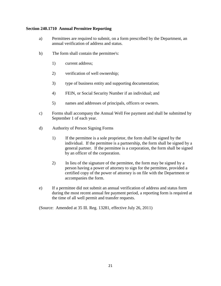## **Section 240.1710 Annual Permittee Reporting**

- a) Permittees are required to submit, on a form prescribed by the Department, an annual verification of address and status.
- b) The form shall contain the permittee's:
	- 1) current address;
	- 2) verification of well ownership;
	- 3) type of business entity and supporting documentation;
	- 4) FEIN, or Social Security Number if an individual; and
	- 5) names and addresses of principals, officers or owners.
- c) Forms shall accompany the Annual Well Fee payment and shall be submitted by September 1 of each year.
- d) Authority of Person Signing Forms
	- 1) If the permittee is a sole proprietor, the form shall be signed by the individual. If the permittee is a partnership, the form shall be signed by a general partner. If the permittee is a corporation, the form shall be signed by an officer of the corporation.
	- 2) In lieu of the signature of the permittee, the form may be signed by a person having a power of attorney to sign for the permittee, provided a certified copy of the power of attorney is on file with the Department or accompanies the form.
- e) If a permittee did not submit an annual verification of address and status form during the most recent annual fee payment period, a reporting form is required at the time of all well permit and transfer requests.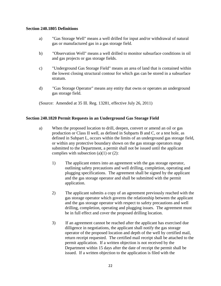#### **Section 240.1805 Definitions**

- a) "Gas Storage Well" means a well drilled for input and/or withdrawal of natural gas or manufactured gas in a gas storage field.
- b) "Observation Well" means a well drilled to monitor subsurface conditions in oil and gas projects or gas storage fields.
- c) "Underground Gas Storage Field" means an area of land that is contained within the lowest closing structural contour for which gas can be stored in a subsurface stratum.
- d) "Gas Storage Operator" means any entity that owns or operates an underground gas storage field.

(Source: Amended at 35 Ill. Reg. 13281, effective July 26, 2011)

## **Section 240.1820 Permit Requests in an Underground Gas Storage Field**

- a) When the proposed location to drill, deepen, convert or amend an oil or gas production or Class II well, as defined in Subparts B and C, or a test hole, as defined in Subpart L, occurs within the limits of an underground gas storage field, or within any protective boundary shown on the gas storage operators map submitted to the Department, a permit shall not be issued until the applicant complies with subsection  $(a)(1)$  or  $(2)$ :
	- 1) The applicant enters into an agreement with the gas storage operator, outlining safety precautions and well drilling, completion, operating and plugging specifications. The agreement shall be signed by the applicant and the gas storage operator and shall be submitted with the permit application.
	- 2) The applicant submits a copy of an agreement previously reached with the gas storage operator which governs the relationship between the applicant and the gas storage operator with respect to safety precautions and well drilling, completion, operating and plugging issues. The agreement must be in full effect and cover the proposed drilling location.
	- 3) If an agreement cannot be reached after the applicant has exercised due dilligence in negotiations, the applicant shall notify the gas storage operator of the proposed location and depth of the well by certified mail, return receipt requested. The certified mail receipt shall be attached to the permit application. If a written objection is not received by the Department within 15 days after the date of receipt the permit shall be issued. If a written objection to the application is filed with the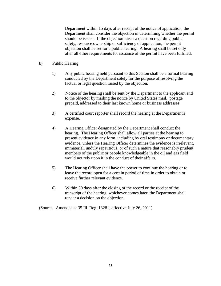Department within 15 days after receipt of the notice of application, the Department shall consider the objection in determining whether the permit should be issued. If the objection raises a question regarding public safety, resource ownership or sufficiency of application, the permit objection shall be set for a public hearing. A hearing shall be set only after all other requirements for issuance of the permit have been fulfilled.

- b) Public Hearing
	- 1) Any public hearing held pursuant to this Section shall be a formal hearing conducted by the Department solely for the purpose of resolving the factual or legal question raised by the objection.
	- 2) Notice of the hearing shall be sent by the Department to the applicant and to the objector by mailing the notice by United States mail, postage prepaid, addressed to their last known home or business addresses.
	- 3) A certified court reporter shall record the hearing at the Department's expense.
	- 4) A Hearing Officer designated by the Department shall conduct the hearing. The Hearing Officer shall allow all parties at the hearing to present evidence in any form, including by oral testimony or documentary evidence, unless the Hearing Officer determines the evidence is irrelevant, immaterial, unduly repetitious, or of such a nature that reasonably prudent members of the public or people knowledgeable in the oil and gas field would not rely upon it in the conduct of their affairs.
	- 5) The Hearing Officer shall have the power to continue the hearing or to leave the record open for a certain period of time in order to obtain or receive further relevant evidence.
	- 6) Within 30 days after the closing of the record or the receipt of the transcript of the hearing, whichever comes later, the Department shall render a decision on the objection.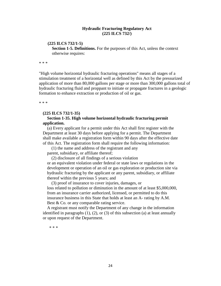#### **Hydraulic Fracturing Regulatory Act (225 ILCS 732/)**

#### **(225 ILCS 732/1-5)**

**Section 1-5. Definitions.** For the purposes of this Act, unless the context otherwise requires:

\* \* \*

"High volume horizontal hydraulic fracturing operations" means all stages of a stimulation treatment of a horizontal well as defined by this Act by the pressurized application of more than 80,000 gallons per stage or more than 300,000 gallons total of hydraulic fracturing fluid and proppant to initiate or propagate fractures in a geologic formation to enhance extraction or production of oil or gas.

\* \* \*

#### **(225 ILCS 732/1-35)**

#### **Section 1-35. High volume horizontal hydraulic fracturing permit application.**

 (a) Every applicant for a permit under this Act shall first register with the Department at least 30 days before applying for a permit. The Department shall make available a registration form within 90 days after the effective date of this Act. The registration form shall require the following information:

 (1) the name and address of the registrant and any parent, subsidiary, or affiliate thereof;

(2) disclosure of all findings of a serious violation

or an equivalent violation under federal or state laws or regulations in the development or operation of an oil or gas exploration or production site via hydraulic fracturing by the applicant or any parent, subsidiary, or affiliate thereof within the previous 5 years; and

 (3) proof of insurance to cover injuries, damages, or loss related to pollution or diminution in the amount of at least \$5,000,000, from an insurance carrier authorized, licensed, or permitted to do this insurance business in this State that holds at least an A- rating by A.M. Best & Co. or any comparable rating service.

 A registrant must notify the Department of any change in the information identified in paragraphs  $(1)$ ,  $(2)$ , or  $(3)$  of this subsection  $(a)$  at least annually or upon request of the Department.

\* \* \*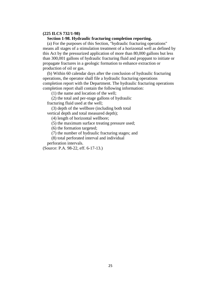#### **(225 ILCS 732/1-98)**

#### **Section 1-98. Hydraulic fracturing completion reporting.**

 (a) For the purposes of this Section, "hydraulic fracturing operations" means all stages of a stimulation treatment of a horizontal well as defined by this Act by the pressurized application of more than 80,000 gallons but less than 300,001 gallons of hydraulic fracturing fluid and proppant to initiate or propagate fractures in a geologic formation to enhance extraction or production of oil or gas.

 (b) Within 60 calendar days after the conclusion of hydraulic fracturing operations, the operator shall file a hydraulic fracturing operations completion report with the Department. The hydraulic fracturing operations completion report shall contain the following information:

(1) the name and location of the well;

 (2) the total and per-stage gallons of hydraulic fracturing fluid used at the well;

 (3) depth of the wellbore (including both total vertical depth and total measured depth);

(4) length of horizontal wellbore;

(5) the maximum surface treating pressure used;

(6) the formation targeted;

(7) the number of hydraulic fracturing stages; and

(8) total perforated interval and individual

perforation intervals.

(Source: P.A. 98-22, eff. 6-17-13.)